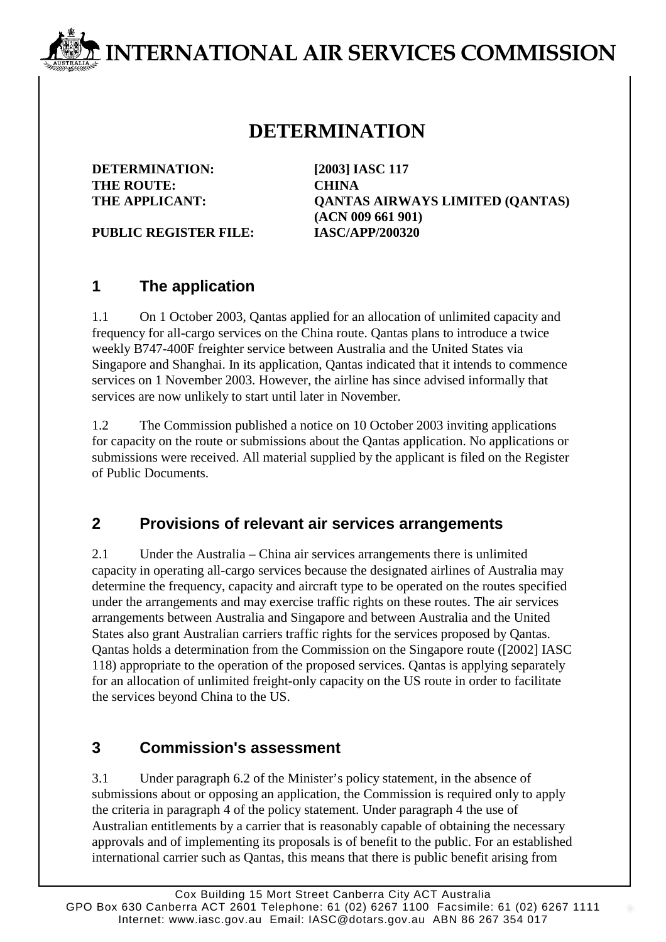# **INTERNATIONAL AIR SERVICES COMMISSION**

# **DETERMINATION**

**DETERMINATION: [2003] IASC 117 THE ROUTE: CHINA**

**THE APPLICANT: QANTAS AIRWAYS LIMITED (QANTAS) (ACN 009 661 901)**

**PUBLIC REGISTER FILE: IASC/APP/200320**

## **1 The application**

1.1 On 1 October 2003, Qantas applied for an allocation of unlimited capacity and frequency for all-cargo services on the China route. Qantas plans to introduce a twice weekly B747-400F freighter service between Australia and the United States via Singapore and Shanghai. In its application, Qantas indicated that it intends to commence services on 1 November 2003. However, the airline has since advised informally that services are now unlikely to start until later in November.

1.2 The Commission published a notice on 10 October 2003 inviting applications for capacity on the route or submissions about the Qantas application. No applications or submissions were received. All material supplied by the applicant is filed on the Register of Public Documents.

## **2 Provisions of relevant air services arrangements**

2.1 Under the Australia – China air services arrangements there is unlimited capacity in operating all-cargo services because the designated airlines of Australia may determine the frequency, capacity and aircraft type to be operated on the routes specified under the arrangements and may exercise traffic rights on these routes. The air services arrangements between Australia and Singapore and between Australia and the United States also grant Australian carriers traffic rights for the services proposed by Qantas. Qantas holds a determination from the Commission on the Singapore route ([2002] IASC 118) appropriate to the operation of the proposed services. Qantas is applying separately for an allocation of unlimited freight-only capacity on the US route in order to facilitate the services beyond China to the US.

#### **3 Commission's assessment**

3.1 Under paragraph 6.2 of the Minister's policy statement, in the absence of submissions about or opposing an application, the Commission is required only to apply the criteria in paragraph 4 of the policy statement. Under paragraph 4 the use of Australian entitlements by a carrier that is reasonably capable of obtaining the necessary approvals and of implementing its proposals is of benefit to the public. For an established international carrier such as Qantas, this means that there is public benefit arising from